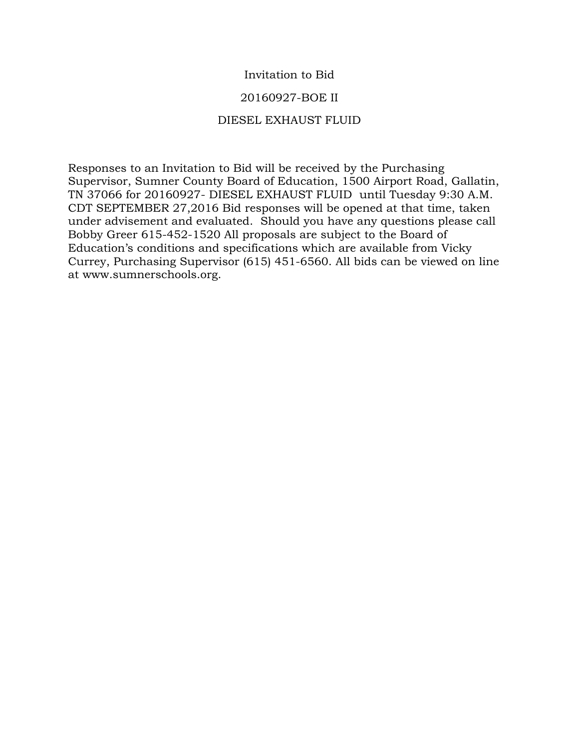# Invitation to Bid

## 20160927-BOE II

## DIESEL EXHAUST FLUID

Responses to an Invitation to Bid will be received by the Purchasing Supervisor, Sumner County Board of Education, 1500 Airport Road, Gallatin, TN 37066 for 20160927- DIESEL EXHAUST FLUID until Tuesday 9:30 A.M. CDT SEPTEMBER 27,2016 Bid responses will be opened at that time, taken under advisement and evaluated. Should you have any questions please call Bobby Greer 615-452-1520 All proposals are subject to the Board of Education's conditions and specifications which are available from Vicky Currey, Purchasing Supervisor (615) 451-6560. All bids can be viewed on line at www.sumnerschools.org.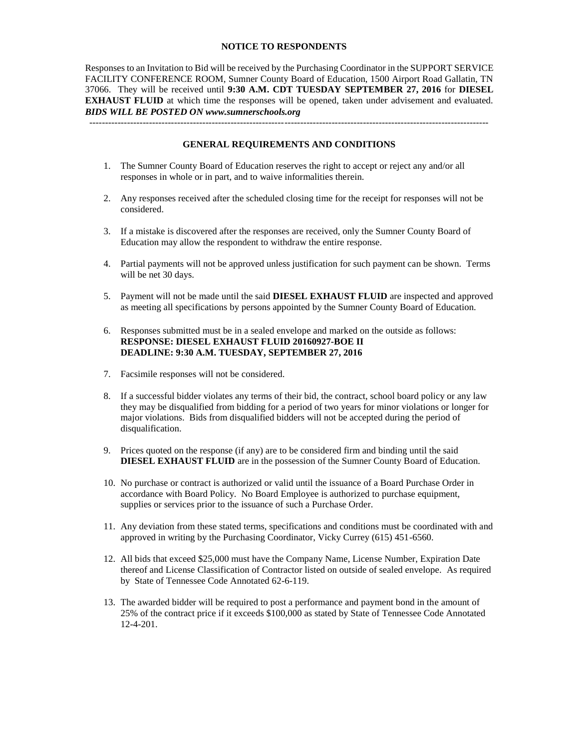#### **NOTICE TO RESPONDENTS**

Responses to an Invitation to Bid will be received by the Purchasing Coordinator in the SUPPORT SERVICE FACILITY CONFERENCE ROOM, Sumner County Board of Education, 1500 Airport Road Gallatin, TN 37066. They will be received until **9:30 A.M. CDT TUESDAY SEPTEMBER 27, 2016** for **DIESEL EXHAUST FLUID** at which time the responses will be opened, taken under advisement and evaluated. *BIDS WILL BE POSTED ON www.sumnerschools.org*

**GENERAL REQUIREMENTS AND CONDITIONS**

-------------------------------------------------------------------------------------------------------------------------------

- 1. The Sumner County Board of Education reserves the right to accept or reject any and/or all responses in whole or in part, and to waive informalities therein.
- 2. Any responses received after the scheduled closing time for the receipt for responses will not be considered.
- 3. If a mistake is discovered after the responses are received, only the Sumner County Board of Education may allow the respondent to withdraw the entire response.
- 4. Partial payments will not be approved unless justification for such payment can be shown. Terms will be net 30 days.
- 5. Payment will not be made until the said **DIESEL EXHAUST FLUID** are inspected and approved as meeting all specifications by persons appointed by the Sumner County Board of Education.
- 6. Responses submitted must be in a sealed envelope and marked on the outside as follows: **RESPONSE: DIESEL EXHAUST FLUID 20160927-BOE II DEADLINE: 9:30 A.M. TUESDAY, SEPTEMBER 27, 2016**
- 7. Facsimile responses will not be considered.
- 8. If a successful bidder violates any terms of their bid, the contract, school board policy or any law they may be disqualified from bidding for a period of two years for minor violations or longer for major violations. Bids from disqualified bidders will not be accepted during the period of disqualification.
- 9. Prices quoted on the response (if any) are to be considered firm and binding until the said **DIESEL EXHAUST FLUID** are in the possession of the Sumner County Board of Education.
- 10. No purchase or contract is authorized or valid until the issuance of a Board Purchase Order in accordance with Board Policy. No Board Employee is authorized to purchase equipment, supplies or services prior to the issuance of such a Purchase Order.
- 11. Any deviation from these stated terms, specifications and conditions must be coordinated with and approved in writing by the Purchasing Coordinator, Vicky Currey (615) 451-6560.
- 12. All bids that exceed \$25,000 must have the Company Name, License Number, Expiration Date thereof and License Classification of Contractor listed on outside of sealed envelope. As required by State of Tennessee Code Annotated 62-6-119.
- 13. The awarded bidder will be required to post a performance and payment bond in the amount of 25% of the contract price if it exceeds \$100,000 as stated by State of Tennessee Code Annotated 12-4-201.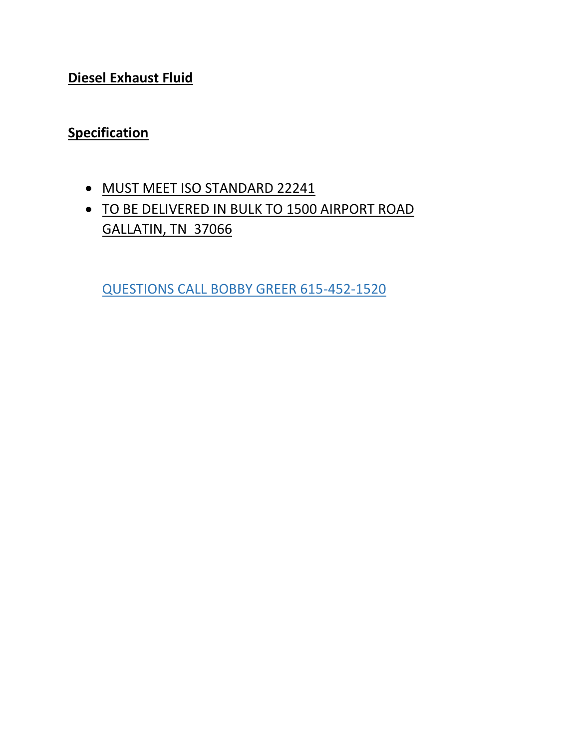**Diesel Exhaust Fluid**

# **Specification**

- $\bullet$  MUST MEET ISO STANDARD 22241
- **TO BE DELIVERED IN BULK TO 1500 AIRPORT ROAD** GALLATIN, TN 37066

QUESTIONS CALL BOBBY GREER 615-452-1520